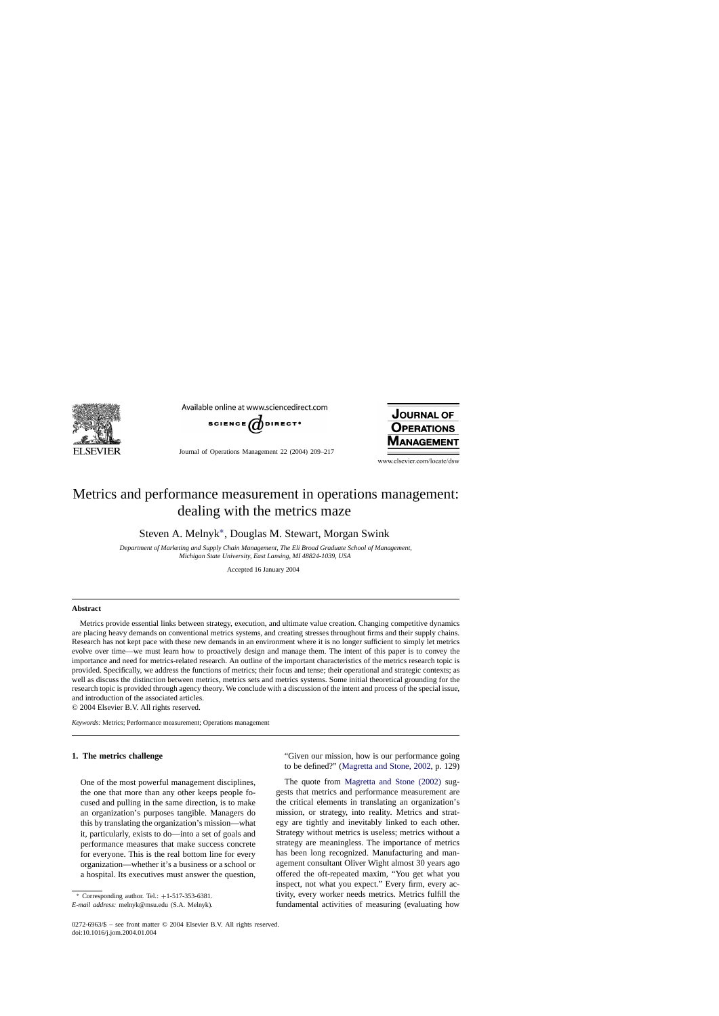

Available online at www.sciencedirect.com



Journal of Operations Management 22 (2004) 209–217



www.elsevier.com/locate/dsw

## Metrics and performance measurement in operations management: dealing with the metrics maze

Steven A. Melnyk∗, Douglas M. Stewart, Morgan Swink

*Department of Marketing and Supply Chain Management, The Eli Broad Graduate School of Management, Michigan State University, East Lansing, MI 48824-1039, USA*

Accepted 16 January 2004

## **Abstract**

Metrics provide essential links between strategy, execution, and ultimate value creation. Changing competitive dynamics are placing heavy demands on conventional metrics systems, and creating stresses throughout firms and their supply chains. Research has not kept pace with these new demands in an environment where it is no longer sufficient to simply let metrics evolve over time—we must learn how to proactively design and manage them. The intent of this paper is to convey the importance and need for metrics-related research. An outline of the important characteristics of the metrics research topic is provided. Specifically, we address the functions of metrics; their focus and tense; their operational and strategic contexts; as well as discuss the distinction between metrics, metrics sets and metrics systems. Some initial theoretical grounding for the research topic is provided through agency theory. We conclude with a discussion of the intent and process of the special issue, and introduction of the associated articles.

© 2004 Elsevier B.V. All rights reserved.

*Keywords:* Metrics; Performance measurement; Operations management

## **1. The metrics challenge**

One of the most powerful management disciplines, the one that more than any other keeps people focused and pulling in the same direction, is to make an organization's purposes tangible. Managers do this by translating the organization's mission—what it, particularly, exists to do—into a set of goals and performance measures that make success concrete for everyone. This is the real bottom line for every organization—whether it's a business or a school or a hospital. Its executives must answer the question,

Corresponding author. Tel.: +1-517-353-6381.

*E-mail address:* melnyk@msu.edu (S.A. Melnyk).

"Given our mission, how is our performance going to be defined?" ([Magretta and Stone, 2002,](#page--1-0) p. 129)

The quote from [Magretta and Stone \(2002\)](#page--1-0) suggests that metrics and performance measurement are the critical elements in translating an organization's mission, or strategy, into reality. Metrics and strategy are tightly and inevitably linked to each other. Strategy without metrics is useless; metrics without a strategy are meaningless. The importance of metrics has been long recognized. Manufacturing and management consultant Oliver Wight almost 30 years ago offered the oft-repeated maxim, "You get what you inspect, not what you expect." Every firm, every activity, every worker needs metrics. Metrics fulfill the fundamental activities of measuring (evaluating how

<sup>0272-6963/\$ –</sup> see front matter © 2004 Elsevier B.V. All rights reserved. doi:10.1016/j.jom.2004.01.004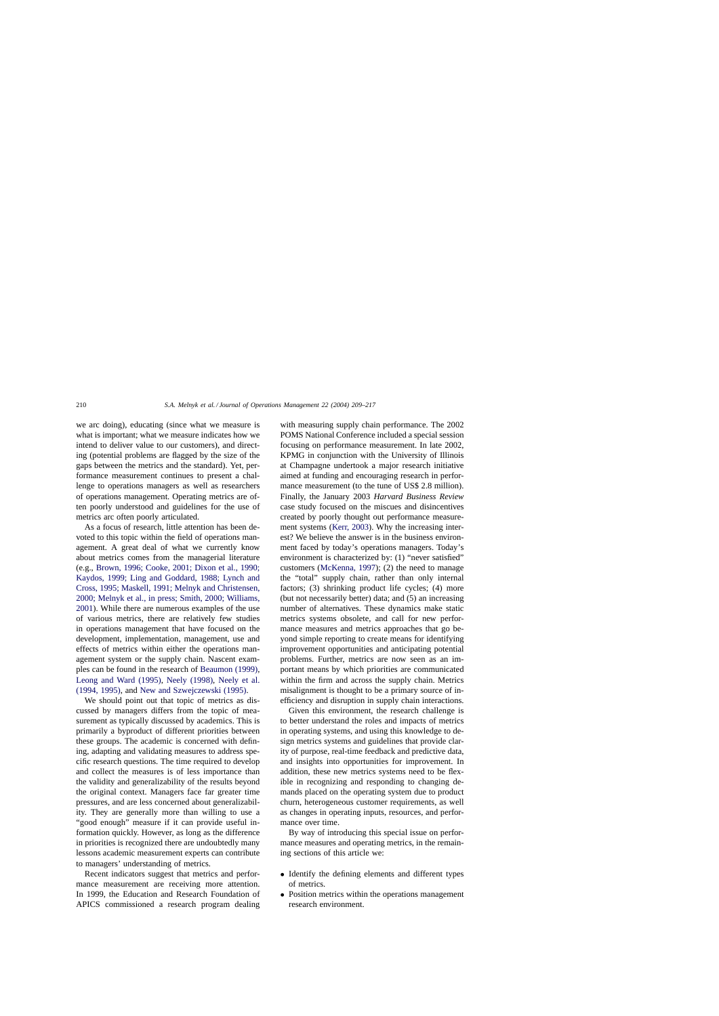we arc doing), educating (since what we measure is what is important; what we measure indicates how we intend to deliver value to our customers), and directing (potential problems are flagged by the size of the gaps between the metrics and the standard). Yet, performance measurement continues to present a challenge to operations managers as well as researchers of operations management. Operating metrics are often poorly understood and guidelines for the use of metrics arc often poorly articulated.

As a focus of research, little attention has been devoted to this topic within the field of operations management. A great deal of what we currently know about metrics comes from the managerial literature (e.g., [Brown, 1996; Cooke, 2001; Dixon et al., 1990;](#page--1-0) [Kaydos, 1999; Ling and Goddard, 1988; Lynch and](#page--1-0) [Cross, 1995; Maskell, 1991; Melnyk and Christensen,](#page--1-0) [2000; Melnyk et al., in press; Smith, 2000; Williams,](#page--1-0) [2001\).](#page--1-0) While there are numerous examples of the use of various metrics, there are relatively few studies in operations management that have focused on the development, implementation, management, use and effects of metrics within either the operations management system or the supply chain. Nascent examples can be found in the research of [Beaumon \(1999\),](#page--1-0) [Leong and Ward \(1995\),](#page--1-0) [Neely \(1998\),](#page--1-0) [Neely et al.](#page--1-0) [\(1994, 1995\),](#page--1-0) and [New and Szwejczewski \(1995\).](#page--1-0)

We should point out that topic of metrics as discussed by managers differs from the topic of measurement as typically discussed by academics. This is primarily a byproduct of different priorities between these groups. The academic is concerned with defining, adapting and validating measures to address specific research questions. The time required to develop and collect the measures is of less importance than the validity and generalizability of the results beyond the original context. Managers face far greater time pressures, and are less concerned about generalizability. They are generally more than willing to use a "good enough" measure if it can provide useful information quickly. However, as long as the difference in priorities is recognized there are undoubtedly many lessons academic measurement experts can contribute to managers' understanding of metrics.

Recent indicators suggest that metrics and performance measurement are receiving more attention. In 1999, the Education and Research Foundation of APICS commissioned a research program dealing with measuring supply chain performance. The 2002 POMS National Conference included a special session focusing on performance measurement. In late 2002, KPMG in conjunction with the University of Illinois at Champagne undertook a major research initiative aimed at funding and encouraging research in performance measurement (to the tune of US\$ 2.8 million). Finally, the January 2003 *Harvard Business Review* case study focused on the miscues and disincentives created by poorly thought out performance measurement systems [\(Kerr, 2003\).](#page--1-0) Why the increasing interest? We believe the answer is in the business environment faced by today's operations managers. Today's environment is characterized by: (1) "never satisfied" customers [\(McKenna, 1997\);](#page--1-0) (2) the need to manage the "total" supply chain, rather than only internal factors; (3) shrinking product life cycles; (4) more (but not necessarily better) data; and (5) an increasing number of alternatives. These dynamics make static metrics systems obsolete, and call for new performance measures and metrics approaches that go beyond simple reporting to create means for identifying improvement opportunities and anticipating potential problems. Further, metrics are now seen as an important means by which priorities are communicated within the firm and across the supply chain. Metrics misalignment is thought to be a primary source of inefficiency and disruption in supply chain interactions.

Given this environment, the research challenge is to better understand the roles and impacts of metrics in operating systems, and using this knowledge to design metrics systems and guidelines that provide clarity of purpose, real-time feedback and predictive data, and insights into opportunities for improvement. In addition, these new metrics systems need to be flexible in recognizing and responding to changing demands placed on the operating system due to product churn, heterogeneous customer requirements, as well as changes in operating inputs, resources, and performance over time.

By way of introducing this special issue on performance measures and operating metrics, in the remaining sections of this article we:

- Identify the defining elements and different types of metrics.
- Position metrics within the operations management research environment.